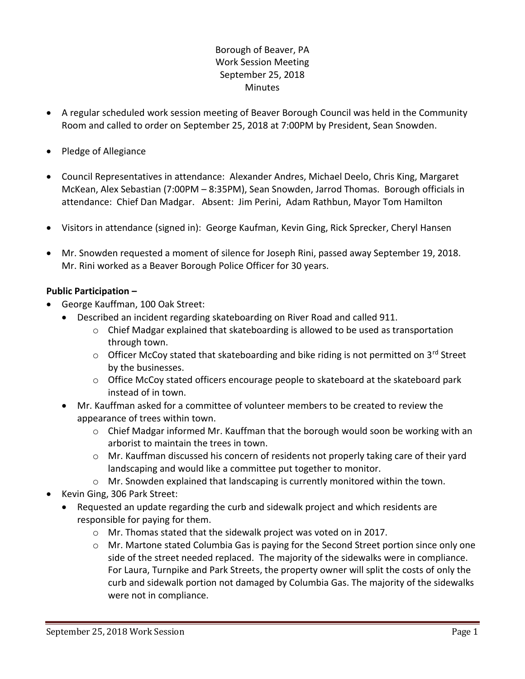# Borough of Beaver, PA Work Session Meeting September 25, 2018 **Minutes**

- A regular scheduled work session meeting of Beaver Borough Council was held in the Community Room and called to order on September 25, 2018 at 7:00PM by President, Sean Snowden.
- Pledge of Allegiance
- Council Representatives in attendance: Alexander Andres, Michael Deelo, Chris King, Margaret McKean, Alex Sebastian (7:00PM – 8:35PM), Sean Snowden, Jarrod Thomas. Borough officials in attendance: Chief Dan Madgar. Absent: Jim Perini, Adam Rathbun, Mayor Tom Hamilton
- Visitors in attendance (signed in): George Kaufman, Kevin Ging, Rick Sprecker, Cheryl Hansen
- Mr. Snowden requested a moment of silence for Joseph Rini, passed away September 19, 2018. Mr. Rini worked as a Beaver Borough Police Officer for 30 years.

#### **Public Participation –**

- George Kauffman, 100 Oak Street:
	- Described an incident regarding skateboarding on River Road and called 911.
		- o Chief Madgar explained that skateboarding is allowed to be used as transportation through town.
		- $\circ$  Officer McCoy stated that skateboarding and bike riding is not permitted on 3<sup>rd</sup> Street by the businesses.
		- $\circ$  Office McCoy stated officers encourage people to skateboard at the skateboard park instead of in town.
	- Mr. Kauffman asked for a committee of volunteer members to be created to review the appearance of trees within town.
		- o Chief Madgar informed Mr. Kauffman that the borough would soon be working with an arborist to maintain the trees in town.
		- $\circ$  Mr. Kauffman discussed his concern of residents not properly taking care of their yard landscaping and would like a committee put together to monitor.
		- o Mr. Snowden explained that landscaping is currently monitored within the town.
- Kevin Ging, 306 Park Street:
	- Requested an update regarding the curb and sidewalk project and which residents are responsible for paying for them.
		- o Mr. Thomas stated that the sidewalk project was voted on in 2017.
		- $\circ$  Mr. Martone stated Columbia Gas is paying for the Second Street portion since only one side of the street needed replaced. The majority of the sidewalks were in compliance. For Laura, Turnpike and Park Streets, the property owner will split the costs of only the curb and sidewalk portion not damaged by Columbia Gas. The majority of the sidewalks were not in compliance.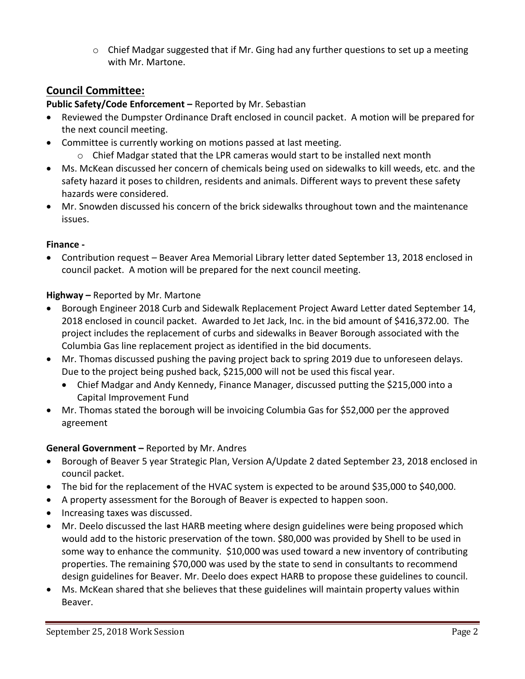$\circ$  Chief Madgar suggested that if Mr. Ging had any further questions to set up a meeting with Mr. Martone.

# **Council Committee:**

# **Public Safety/Code Enforcement –** Reported by Mr. Sebastian

- Reviewed the Dumpster Ordinance Draft enclosed in council packet. A motion will be prepared for the next council meeting.
- Committee is currently working on motions passed at last meeting.
	- o Chief Madgar stated that the LPR cameras would start to be installed next month
- Ms. McKean discussed her concern of chemicals being used on sidewalks to kill weeds, etc. and the safety hazard it poses to children, residents and animals. Different ways to prevent these safety hazards were considered.
- Mr. Snowden discussed his concern of the brick sidewalks throughout town and the maintenance issues.

## **Finance -**

 Contribution request – Beaver Area Memorial Library letter dated September 13, 2018 enclosed in council packet. A motion will be prepared for the next council meeting.

## **Highway –** Reported by Mr. Martone

- Borough Engineer 2018 Curb and Sidewalk Replacement Project Award Letter dated September 14, 2018 enclosed in council packet. Awarded to Jet Jack, Inc. in the bid amount of \$416,372.00. The project includes the replacement of curbs and sidewalks in Beaver Borough associated with the Columbia Gas line replacement project as identified in the bid documents.
- Mr. Thomas discussed pushing the paving project back to spring 2019 due to unforeseen delays. Due to the project being pushed back, \$215,000 will not be used this fiscal year.
	- Chief Madgar and Andy Kennedy, Finance Manager, discussed putting the \$215,000 into a Capital Improvement Fund
- Mr. Thomas stated the borough will be invoicing Columbia Gas for \$52,000 per the approved agreement

## **General Government –** Reported by Mr. Andres

- Borough of Beaver 5 year Strategic Plan, Version A/Update 2 dated September 23, 2018 enclosed in council packet.
- The bid for the replacement of the HVAC system is expected to be around \$35,000 to \$40,000.
- A property assessment for the Borough of Beaver is expected to happen soon.
- Increasing taxes was discussed.
- Mr. Deelo discussed the last HARB meeting where design guidelines were being proposed which would add to the historic preservation of the town. \$80,000 was provided by Shell to be used in some way to enhance the community. \$10,000 was used toward a new inventory of contributing properties. The remaining \$70,000 was used by the state to send in consultants to recommend design guidelines for Beaver. Mr. Deelo does expect HARB to propose these guidelines to council.
- Ms. McKean shared that she believes that these guidelines will maintain property values within Beaver.